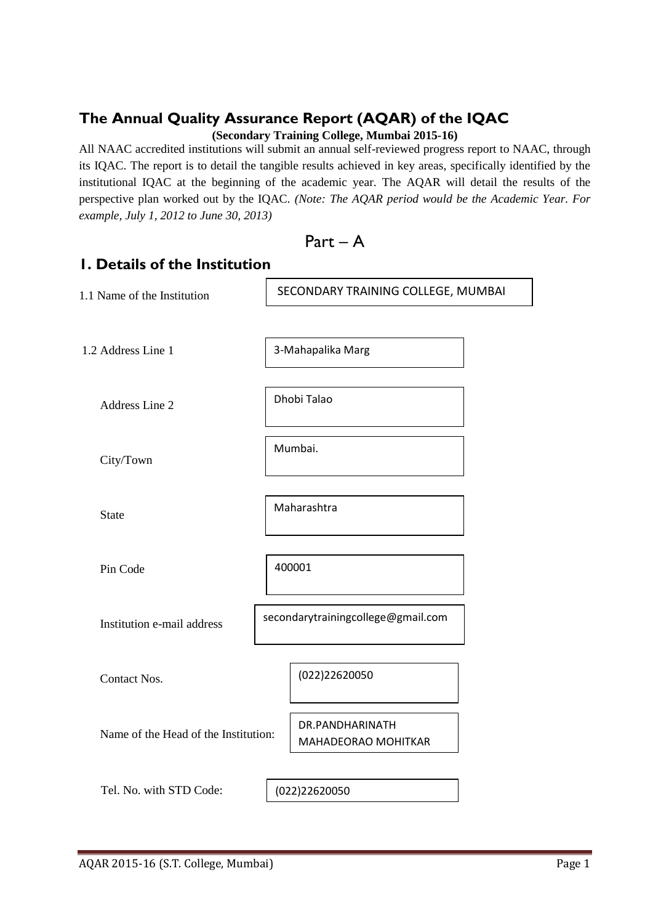# **The Annual Quality Assurance Report (AQAR) of the IQAC**

**(Secondary Training College, Mumbai 2015-16)**

All NAAC accredited institutions will submit an annual self-reviewed progress report to NAAC, through its IQAC. The report is to detail the tangible results achieved in key areas, specifically identified by the institutional IQAC at the beginning of the academic year. The AQAR will detail the results of the perspective plan worked out by the IQAC. *(Note: The AQAR period would be the Academic Year. For example, July 1, 2012 to June 30, 2013)*

Part – A

## **1. Details of the Institution**

| 1.1 Name of the Institution          | SECONDARY TRAINING COLLEGE, MUMBAI |
|--------------------------------------|------------------------------------|
|                                      |                                    |
| 1.2 Address Line 1                   | 3-Mahapalika Marg                  |
|                                      |                                    |
| Address Line 2                       | Dhobi Talao                        |
|                                      |                                    |
| City/Town                            | Mumbai.                            |
|                                      |                                    |
| <b>State</b>                         | Maharashtra                        |
|                                      |                                    |
| Pin Code                             | 400001                             |
|                                      |                                    |
| Institution e-mail address           | secondarytrainingcollege@gmail.com |
|                                      |                                    |
| Contact Nos.                         | (022)22620050                      |
|                                      |                                    |
|                                      | DR.PANDHARINATH                    |
| Name of the Head of the Institution: | MAHADEORAO MOHITKAR                |
|                                      |                                    |
| Tel. No. with STD Code:              | (022)22620050                      |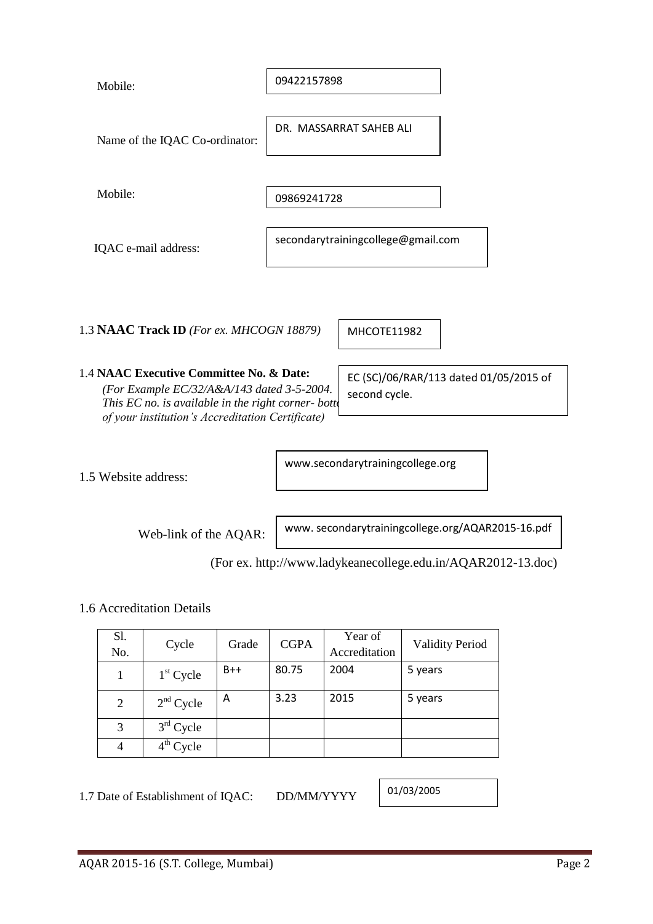| Mobile:              |                                                                                                                                                                                                     |       | 09422157898 |                                  |                                                              |  |
|----------------------|-----------------------------------------------------------------------------------------------------------------------------------------------------------------------------------------------------|-------|-------------|----------------------------------|--------------------------------------------------------------|--|
|                      | Name of the IQAC Co-ordinator:                                                                                                                                                                      |       |             | DR. MASSARRAT SAHFB ALL          |                                                              |  |
| Mobile:              |                                                                                                                                                                                                     |       | 09869241728 |                                  |                                                              |  |
|                      | secondarytrainingcollege@gmail.com<br>IQAC e-mail address:                                                                                                                                          |       |             |                                  |                                                              |  |
|                      | 1.3 NAAC Track ID (For ex. MHCOGN 18879)                                                                                                                                                            |       |             | MHCOTE11982                      |                                                              |  |
|                      | 1.4 NAAC Executive Committee No. & Date:<br>(For Example EC/32/A&A/143 dated 3-5-2004.<br>This EC no. is available in the right corner- bottom-<br>of your institution's Accreditation Certificate) |       |             | second cycle.                    | EC (SC)/06/RAR/113 dated 01/05/2015 of                       |  |
| 1.5 Website address: |                                                                                                                                                                                                     |       |             | www.secondarytrainingcollege.org |                                                              |  |
|                      | Web-link of the AQAR:                                                                                                                                                                               |       |             |                                  | www.secondarytrainingcollege.org/AQAR2015-16.pdf             |  |
|                      |                                                                                                                                                                                                     |       |             |                                  | (For ex. http://www.ladykeanecollege.edu.in/AQAR2012-13.doc) |  |
|                      | 1.6 Accreditation Details                                                                                                                                                                           |       |             |                                  |                                                              |  |
| Sl.<br>No.           | Cycle                                                                                                                                                                                               | Grade | <b>CGPA</b> | Year of<br>Accreditation         | <b>Validity Period</b>                                       |  |
| $\mathbf{1}$         | $1st$ Cycle                                                                                                                                                                                         | $B++$ | 80.75       | 2004                             | 5 years                                                      |  |
| 2                    | $2nd$ Cycle                                                                                                                                                                                         | Α     | 3.23        | 2015                             | 5 years                                                      |  |
| 3                    | $3rd$ Cycle                                                                                                                                                                                         |       |             |                                  |                                                              |  |

1.7 Date of Establishment of IQAC: DD/MM/YYYY

4  $4^{\text{th}}$  Cycle

01/03/2005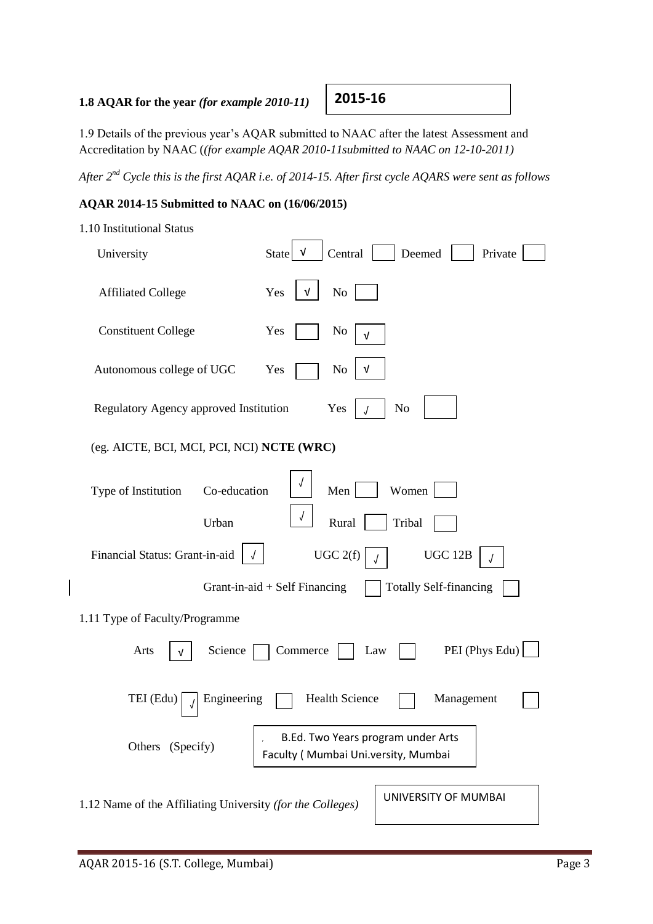### **1.8 AQAR for the year** *(for example 2010-11)*

1.9 Details of the previous year's AQAR submitted to NAAC after the latest Assessment and Accreditation by NAAC (*(for example AQAR 2010-11submitted to NAAC on 12-10-2011)*

*After 2nd Cycle this is the first AQAR i.e. of 2014-15. After first cycle AQARS were sent as follows*

 $\overline{\phantom{0}}$ 

### **AQAR 2014-15 Submitted to NAAC on (16/06/2015)**

| 1.10 Institutional Status |  |
|---------------------------|--|
|                           |  |

| University                                                 | Central<br><b>State</b><br>v                                              | Deemed<br>Private                               |
|------------------------------------------------------------|---------------------------------------------------------------------------|-------------------------------------------------|
| <b>Affiliated College</b>                                  | Yes<br>No<br>v                                                            |                                                 |
| <b>Constituent College</b>                                 | Yes<br>No<br>v                                                            |                                                 |
| Autonomous college of UGC                                  | Yes<br>No<br>v                                                            |                                                 |
| Regulatory Agency approved Institution                     | Yes                                                                       | N <sub>o</sub>                                  |
| (eg. AICTE, BCI, MCI, PCI, NCI) NCTE (WRC)                 |                                                                           |                                                 |
| Co-education<br>Type of Institution<br>Urban               | Men<br>Rural                                                              | Women<br>Tribal                                 |
| Financial Status: Grant-in-aid                             | UGC 2(f)<br>Grant-in-aid $+$ Self Financing                               | <b>UGC 12B</b><br><b>Totally Self-financing</b> |
| 1.11 Type of Faculty/Programme                             |                                                                           |                                                 |
| Arts<br>Science                                            | Commerce                                                                  | PEI (Phys Edu)<br>Law                           |
| Engineering<br>TEI (Edu)                                   | <b>Health Science</b>                                                     | Management                                      |
| Others (Specify)                                           | B.Ed. Two Years program under Arts<br>Faculty (Mumbai Uni.versity, Mumbai |                                                 |
| 1.12 Name of the Affiliating University (for the Colleges) |                                                                           | UNIVERSITY OF MUMBAI                            |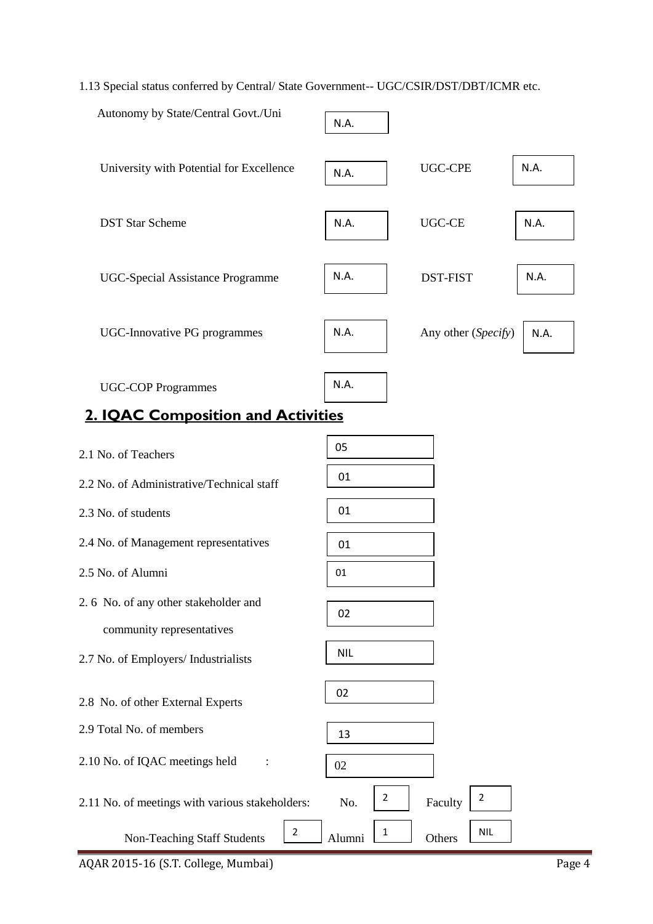### 1.13 Special status conferred by Central/ State Government-- UGC/CSIR/DST/DBT/ICMR etc.

| Autonomy by State/Central Govt./Uni                               | N.A.       |                     |      |
|-------------------------------------------------------------------|------------|---------------------|------|
| University with Potential for Excellence                          | N.A.       | <b>UGC-CPE</b>      | N.A. |
| <b>DST Star Scheme</b>                                            | N.A.       | <b>UGC-CE</b>       | N.A. |
| <b>UGC-Special Assistance Programme</b>                           | N.A.       | <b>DST-FIST</b>     | N.A. |
| <b>UGC-Innovative PG programmes</b>                               | N.A.       | Any other (Specify) | N.A. |
| <b>UGC-COP Programmes</b>                                         | N.A.       |                     |      |
| <b>2. IQAC Composition and Activities</b>                         |            |                     |      |
| 2.1 No. of Teachers                                               | 05         |                     |      |
| 2.2 No. of Administrative/Technical staff                         | 01         |                     |      |
| 2.3 No. of students                                               | 01         |                     |      |
| 2.4 No. of Management representatives                             | 01         |                     |      |
| 2.5 No. of Alumni                                                 | 01         |                     |      |
| 2.6 No. of any other stakeholder and<br>community representatives | 02         |                     |      |
| 2.7 No. of Employers/ Industrialists                              | <b>NIL</b> |                     |      |

02

13

02

2

2

2

Others NIL

2.8 No. of other External Experts

2.9 Total No. of members

2.10 No. of IQAC meetings held :

2.11 No. of meetings with various stakeholders: No.  $\begin{vmatrix} 2 \\ 2 \end{vmatrix}$  Faculty

Non-Teaching Staff Students  $\begin{bmatrix} 2 \end{bmatrix}$  Alumni  $\begin{bmatrix} 1 \end{bmatrix}$ 

AQAR 2015-16 (S.T. College, Mumbai) Page 4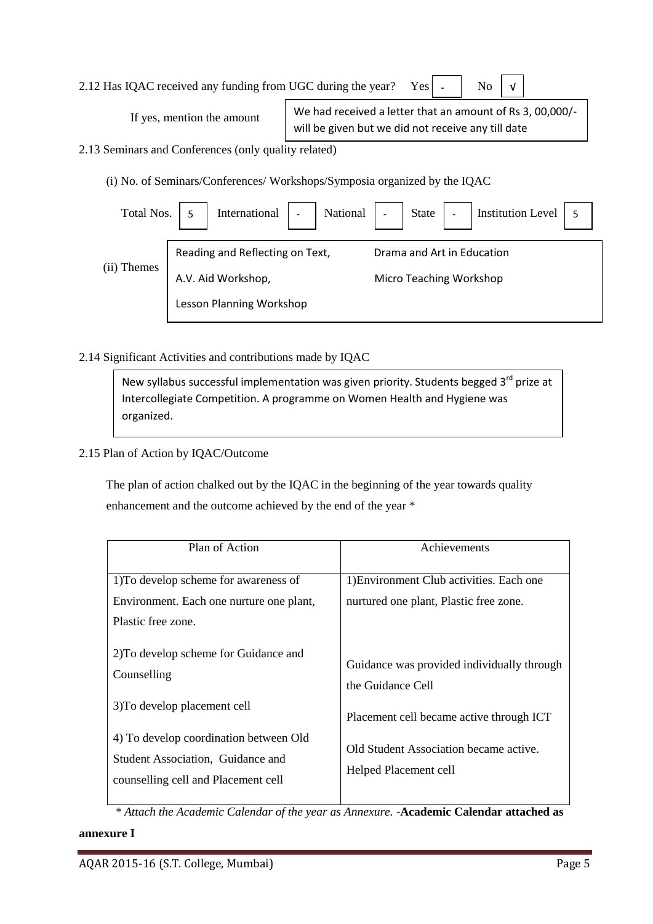| 2.12 Has IQAC received any funding from UGC during the year? Yes $\vert \cdot \vert$ No $\vert \sqrt{\vert}$ |  |  |  |  |  |
|--------------------------------------------------------------------------------------------------------------|--|--|--|--|--|
|--------------------------------------------------------------------------------------------------------------|--|--|--|--|--|

| If yes, mention the amount | We had received a letter that an amount of Rs 3, 00,000/- |  |
|----------------------------|-----------------------------------------------------------|--|
|                            | will be given but we did not receive any till date        |  |
| $\sim$ 10 $\sim$           |                                                           |  |

2.13 Seminars and Conferences (only quality related)

(i) No. of Seminars/Conferences/ Workshops/Symposia organized by the IQAC

| Total Nos.  |                                 | International   -   National   -   State   -   Institution Level   5 |
|-------------|---------------------------------|----------------------------------------------------------------------|
|             | Reading and Reflecting on Text, | Drama and Art in Education                                           |
| (ii) Themes | A.V. Aid Workshop,              | Micro Teaching Workshop                                              |
|             | Lesson Planning Workshop        |                                                                      |

2.14 Significant Activities and contributions made by IQAC

New syllabus successful implementation was given priority. Students begged  $3<sup>rd</sup>$  prize at Intercollegiate Competition. A programme on Women Health and Hygiene was organized.

2.15 Plan of Action by IQAC/Outcome

 The plan of action chalked out by the IQAC in the beginning of the year towards quality enhancement and the outcome achieved by the end of the year \*

| Plan of Action                                                                                                                                     | Achievements                                                                                                |
|----------------------------------------------------------------------------------------------------------------------------------------------------|-------------------------------------------------------------------------------------------------------------|
| 1) To develop scheme for awareness of<br>Environment. Each one nurture one plant,<br>Plastic free zone.                                            | 1) Environment Club activities. Each one<br>nurtured one plant, Plastic free zone.                          |
| 2) To develop scheme for Guidance and<br>Counselling                                                                                               | Guidance was provided individually through<br>the Guidance Cell                                             |
| 3) To develop placement cell<br>4) To develop coordination between Old<br>Student Association, Guidance and<br>counselling cell and Placement cell | Placement cell became active through ICT<br>Old Student Association became active.<br>Helped Placement cell |

 *\* Attach the Academic Calendar of the year as Annexure.* -**Academic Calendar attached as** 

### **annexure I**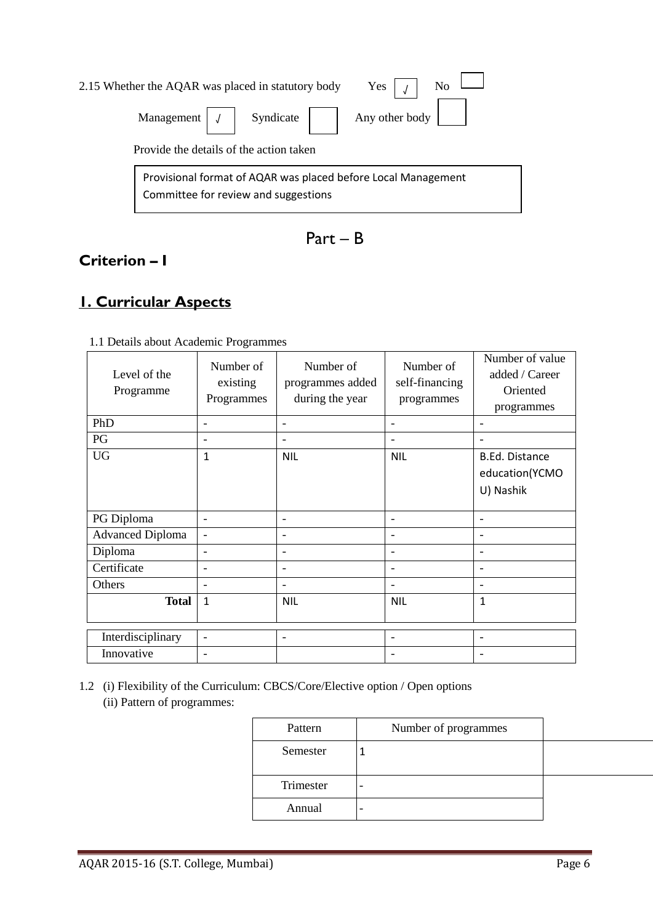|                                                                                                       | No<br>Yes $\vert$ $\vert$<br>2.15 Whether the AQAR was placed in statutory body |  |  |
|-------------------------------------------------------------------------------------------------------|---------------------------------------------------------------------------------|--|--|
|                                                                                                       | Any other body<br>Management $\vert \vert$ $\vert$ Syndicate $\vert$            |  |  |
|                                                                                                       | Provide the details of the action taken                                         |  |  |
| Provisional format of AQAR was placed before Local Management<br>Committee for review and suggestions |                                                                                 |  |  |

Part – B

# **Criterion – I**

# **1. Curricular Aspects**

| Level of the<br>Programme | Number of<br>existing<br>Programmes | Number of<br>programmes added<br>during the year | Number of<br>self-financing<br>programmes | Number of value<br>added / Career<br>Oriented<br>programmes |
|---------------------------|-------------------------------------|--------------------------------------------------|-------------------------------------------|-------------------------------------------------------------|
| PhD                       |                                     | ۰                                                | $\overline{\phantom{a}}$                  | $\overline{\phantom{a}}$                                    |
| PG                        | $\overline{\phantom{a}}$            |                                                  |                                           |                                                             |
| <b>UG</b>                 | $\mathbf{1}$                        | <b>NIL</b>                                       | <b>NIL</b>                                | <b>B.Ed. Distance</b><br>education(YCMO<br>U) Nashik        |
| PG Diploma                | $\overline{\phantom{a}}$            | $\overline{\phantom{a}}$                         | $\overline{\phantom{a}}$                  | $\qquad \qquad -$                                           |
| <b>Advanced Diploma</b>   | $\overline{\phantom{0}}$            | $\overline{\phantom{a}}$                         | $\overline{\phantom{a}}$                  | $\overline{\phantom{a}}$                                    |
| Diploma                   | $\overline{\phantom{a}}$            | $\overline{\phantom{a}}$                         | $\overline{\phantom{a}}$                  | $\overline{\phantom{a}}$                                    |
| Certificate               | $\overline{\phantom{a}}$            | $\overline{\phantom{a}}$                         | $\overline{\phantom{a}}$                  | $\overline{\phantom{a}}$                                    |
| Others                    | $\overline{\phantom{a}}$            | $\overline{\phantom{a}}$                         | $\overline{\phantom{a}}$                  | $\overline{\phantom{a}}$                                    |
| <b>Total</b>              | 1                                   | <b>NIL</b>                                       | <b>NIL</b>                                | $\mathbf{1}$                                                |
| Interdisciplinary         | $\overline{\phantom{a}}$            | $\qquad \qquad$                                  | $\overline{\phantom{a}}$                  | -                                                           |
| Innovative                |                                     |                                                  |                                           |                                                             |

1.1 Details about Academic Programmes

1.2 (i) Flexibility of the Curriculum: CBCS/Core/Elective option / Open options (ii) Pattern of programmes:

| Pattern   | Number of programmes |  |
|-----------|----------------------|--|
| Semester  |                      |  |
| Trimester |                      |  |
| Annual    |                      |  |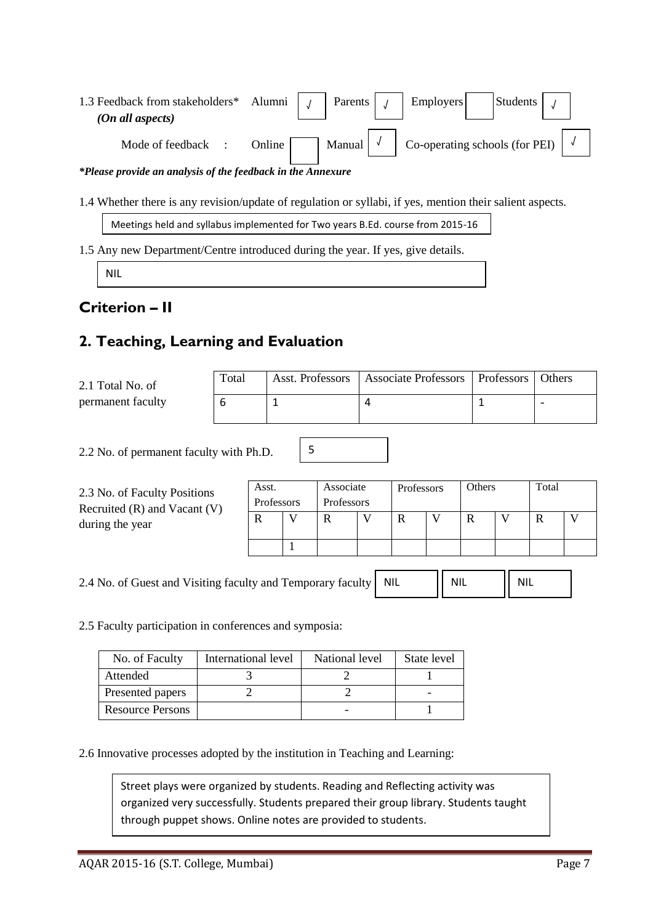| 1.3 Feedback from stakeholders* Alumni<br>(On all aspects)  |                              |  | Parents |  | Employers |  | Students                               |  |  |
|-------------------------------------------------------------|------------------------------|--|---------|--|-----------|--|----------------------------------------|--|--|
| Mode of feedback :                                          | Manual $\sqrt{\ }$<br>Online |  |         |  |           |  | Co-operating schools (for PEI) $\vert$ |  |  |
| *Please provide an analysis of the feedback in the Annexure |                              |  |         |  |           |  |                                        |  |  |

1.4 Whether there is any revision/update of regulation or syllabi, if yes, mention their salient aspects.

Meetings held and syllabus implemented for Two years B.Ed. course from 2015-16

1.5 Any new Department/Centre introduced during the year. If yes, give details.

NIL

## **Criterion – II**

# **2. Teaching, Learning and Evaluation**

| 2.1 Total No. of  | Total | Asst. Professors   Associate Professors   Professors   Others |  |
|-------------------|-------|---------------------------------------------------------------|--|
| permanent faculty |       |                                                               |  |

5

2.2 No. of permanent faculty with Ph.D.

| 2.3 No. of Faculty Positions<br>Recruited $(R)$ and Vacant $(V)$<br>during the year | Asst.<br>Professors |  | Associate<br>Professors |  | Professors |  | Others |  | Total |  |
|-------------------------------------------------------------------------------------|---------------------|--|-------------------------|--|------------|--|--------|--|-------|--|
|                                                                                     |                     |  | R                       |  |            |  | R      |  |       |  |
|                                                                                     |                     |  |                         |  |            |  |        |  |       |  |

2.4 No. of Guest and Visiting faculty and Temporary faculty NIL NIL NIL

2.5 Faculty participation in conferences and symposia:

| No. of Faculty          | International level | National level | State level |
|-------------------------|---------------------|----------------|-------------|
| Attended                |                     |                |             |
| Presented papers        |                     |                |             |
| <b>Resource Persons</b> |                     |                |             |

2.6 Innovative processes adopted by the institution in Teaching and Learning:

Street plays were organized by students. Reading and Reflecting activity was organized very successfully. Students prepared their group library. Students taught through puppet shows. Online notes are provided to students.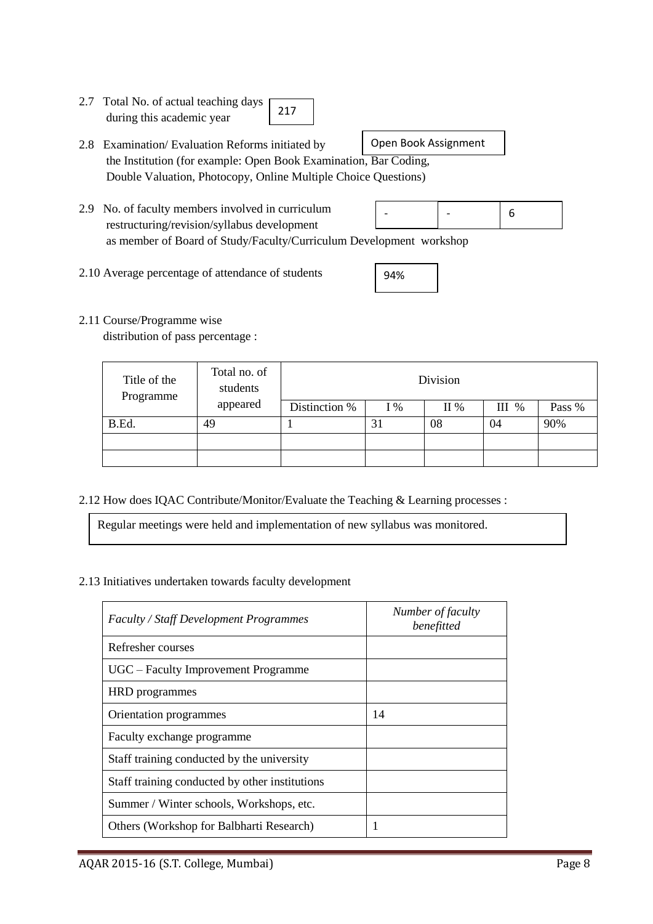- 2.7 Total No. of actual teaching days during this academic year 217
- 2.8 Examination/ Evaluation Reforms initiated by the Institution (for example: Open Book Examination, Bar Coding, Double Valuation, Photocopy, Online Multiple Choice Questions) Open Book Assignment
- 2.9 No. of faculty members involved in curriculum restructuring/revision/syllabus development as member of Board of Study/Faculty/Curriculum Development workshop 6 - -
- 2.10 Average percentage of attendance of students

| 94% |  |
|-----|--|
|     |  |

2.11 Course/Programme wise

distribution of pass percentage :

| Title of the<br>Programme | Total no. of<br>students | Division      |     |     |         |        |  |  |  |
|---------------------------|--------------------------|---------------|-----|-----|---------|--------|--|--|--|
|                           | appeared                 | Distinction % | I % | II% | $III$ % | Pass % |  |  |  |
| B.Ed.                     | 49                       |               | 31  | 08  | 04      | 90%    |  |  |  |
|                           |                          |               |     |     |         |        |  |  |  |
|                           |                          |               |     |     |         |        |  |  |  |

2.12 How does IQAC Contribute/Monitor/Evaluate the Teaching & Learning processes :

Regular meetings were held and implementation of new syllabus was monitored.

2.13 Initiatives undertaken towards faculty development

| <b>Faculty / Staff Development Programmes</b>  | Number of faculty<br>benefitted |
|------------------------------------------------|---------------------------------|
| Refresher courses                              |                                 |
| UGC – Faculty Improvement Programme            |                                 |
| <b>HRD</b> programmes                          |                                 |
| Orientation programmes                         | 14                              |
| Faculty exchange programme                     |                                 |
| Staff training conducted by the university     |                                 |
| Staff training conducted by other institutions |                                 |
| Summer / Winter schools, Workshops, etc.       |                                 |
| Others (Workshop for Balbharti Research)       |                                 |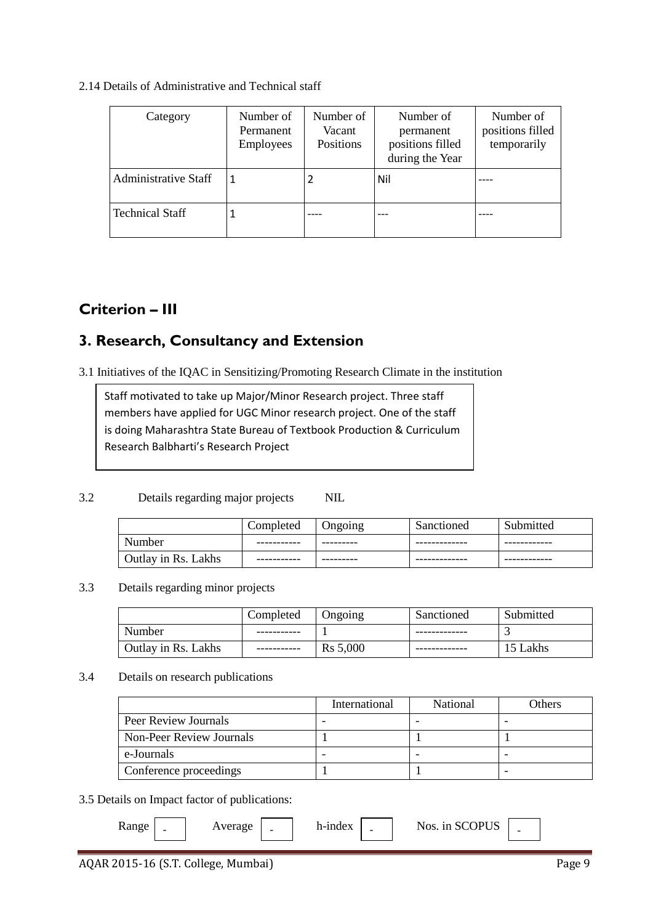### 2.14 Details of Administrative and Technical staff

| Category                    | Number of<br>Permanent<br>Employees | Number of<br>Vacant<br>Positions | Number of<br>permanent<br>positions filled<br>during the Year | Number of<br>positions filled<br>temporarily |
|-----------------------------|-------------------------------------|----------------------------------|---------------------------------------------------------------|----------------------------------------------|
| <b>Administrative Staff</b> |                                     |                                  | Nil                                                           |                                              |
| <b>Technical Staff</b>      |                                     |                                  |                                                               |                                              |

# **Criterion – III**

## **3. Research, Consultancy and Extension**

3.1 Initiatives of the IQAC in Sensitizing/Promoting Research Climate in the institution

Staff motivated to take up Major/Minor Research project. Three staff members have applied for UGC Minor research project. One of the staff is doing Maharashtra State Bureau of Textbook Production & Curriculum Research Balbharti's Research Project

### 3.2 Details regarding major projects NIL

|                     | Completed   | Ongoing | Sanctioned    | Submitted    |
|---------------------|-------------|---------|---------------|--------------|
| Number              | ----------- |         | ------------- | ------------ |
| Outlay in Rs. Lakhs |             |         |               |              |

### 3.3 Details regarding minor projects

|                     | Completed | <b>Ongoing</b>       | Sanctioned | Submitted |
|---------------------|-----------|----------------------|------------|-----------|
| Number              |           |                      |            |           |
| Outlay in Rs. Lakhs |           | R <sub>s</sub> 5,000 |            | 15 Lakhs  |

### 3.4 Details on research publications

|                          | International | <b>National</b> | Others |
|--------------------------|---------------|-----------------|--------|
| Peer Review Journals     |               |                 |        |
| Non-Peer Review Journals |               |                 |        |
| e-Journals               |               |                 |        |
| Conference proceedings   |               |                 |        |

### 3.5 Details on Impact factor of publications:

| kange | $\overline{\phantom{0}}$ | $\qquad \qquad \blacksquare$ | h-index | $\overline{\phantom{0}}$ | Nos. in SCOPUS |  |
|-------|--------------------------|------------------------------|---------|--------------------------|----------------|--|
|       |                          |                              |         |                          |                |  |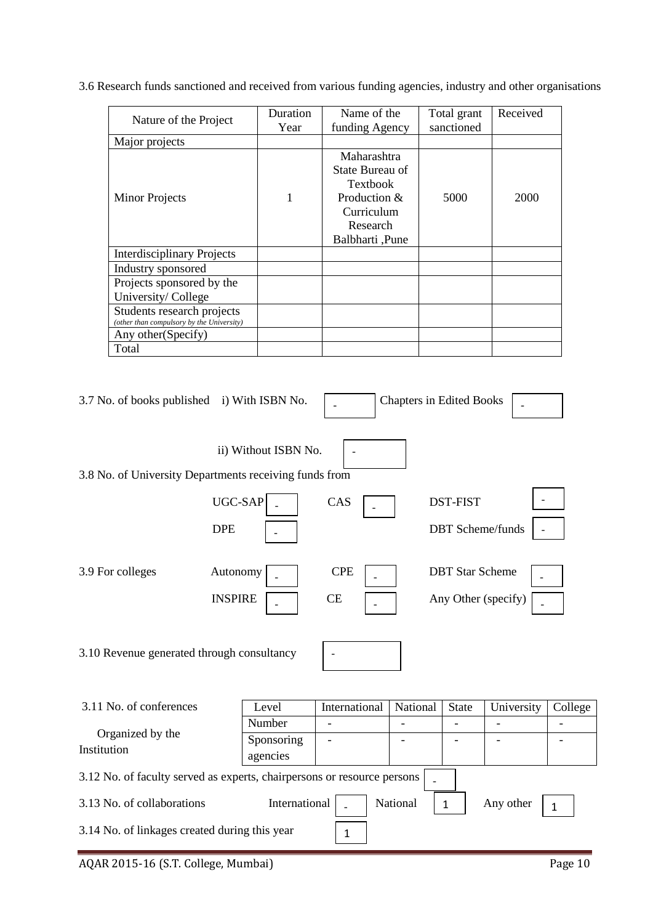3.6 Research funds sanctioned and received from various funding agencies, industry and other organisations

| Nature of the Project                                                   | Duration<br>Year | Name of the<br>funding Agency                                                                                    | Total grant<br>sanctioned | Received |
|-------------------------------------------------------------------------|------------------|------------------------------------------------------------------------------------------------------------------|---------------------------|----------|
| Major projects                                                          |                  |                                                                                                                  |                           |          |
| <b>Minor Projects</b>                                                   | 1                | Maharashtra<br>State Bureau of<br><b>Textbook</b><br>Production $&$<br>Curriculum<br>Research<br>Balbharti, Pune | 5000                      | 2000     |
| <b>Interdisciplinary Projects</b>                                       |                  |                                                                                                                  |                           |          |
| Industry sponsored                                                      |                  |                                                                                                                  |                           |          |
| Projects sponsored by the<br>University/College                         |                  |                                                                                                                  |                           |          |
| Students research projects<br>(other than compulsory by the University) |                  |                                                                                                                  |                           |          |
| Any other(Specify)                                                      |                  |                                                                                                                  |                           |          |
| Total                                                                   |                  |                                                                                                                  |                           |          |

| 3.7 No. of books published i) With ISBN No.                             |                        |               | <b>Chapters in Edited Books</b> |                        |                         |              |
|-------------------------------------------------------------------------|------------------------|---------------|---------------------------------|------------------------|-------------------------|--------------|
|                                                                         | ii) Without ISBN No.   |               |                                 |                        |                         |              |
| 3.8 No. of University Departments receiving funds from                  |                        |               |                                 |                        |                         |              |
| UGC-SAP                                                                 |                        | CAS           |                                 | <b>DST-FIST</b>        |                         |              |
| <b>DPE</b>                                                              |                        |               |                                 |                        | <b>DBT</b> Scheme/funds |              |
| 3.9 For colleges<br>Autonomy                                            |                        | <b>CPE</b>    |                                 | <b>DBT</b> Star Scheme |                         |              |
| <b>INSPIRE</b>                                                          |                        | CE            |                                 |                        | Any Other (specify)     |              |
| 3.10 Revenue generated through consultancy                              |                        |               |                                 |                        |                         |              |
| 3.11 No. of conferences                                                 | Level                  | International | National                        | <b>State</b>           | University              | College      |
|                                                                         | Number                 |               |                                 |                        |                         |              |
| Organized by the<br>Institution                                         | Sponsoring<br>agencies |               |                                 |                        |                         |              |
| 3.12 No. of faculty served as experts, chairpersons or resource persons |                        |               |                                 |                        |                         |              |
| 3.13 No. of collaborations                                              | International          |               | National                        | $\mathbf{1}$           | Any other               | $\mathbf{1}$ |
| 3.14 No. of linkages created during this year                           |                        | $\mathbf{1}$  |                                 |                        |                         |              |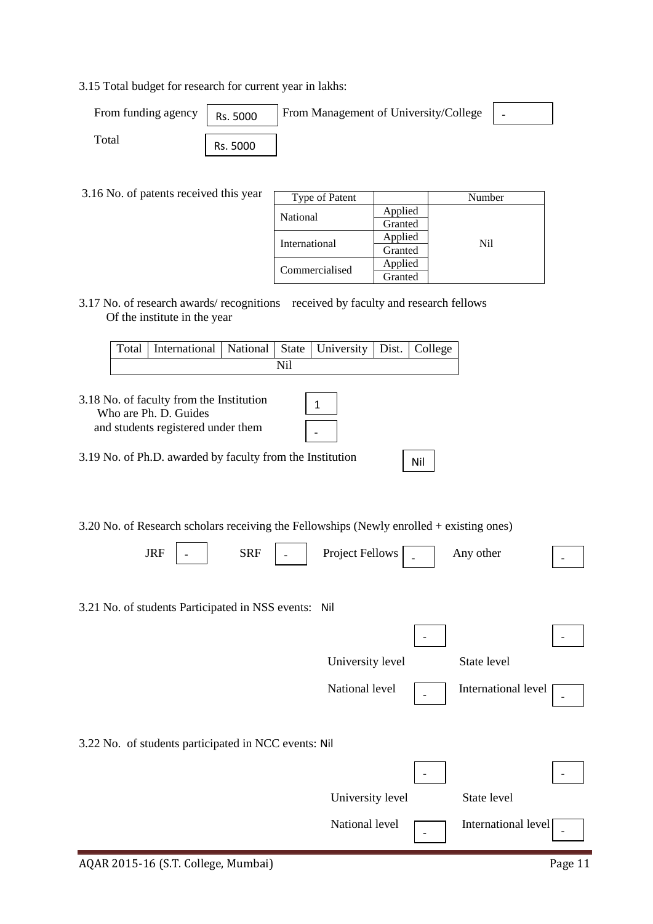3.15 Total budget for research for current year in lakhs:

| From funding agency | Rs. 5000 | From Management of University/College |  |
|---------------------|----------|---------------------------------------|--|
| $_{\rm Total}$      | Rs. 5000 |                                       |  |

3.16 No. of patents received this year

| Type of Patent |         | Number |
|----------------|---------|--------|
| National       | Applied |        |
|                | Granted |        |
| International  | Applied | Nil    |
|                | Granted |        |
| Commercialised | Applied |        |
|                | Granted |        |

3.17 No. of research awards/ recognitions received by faculty and research fellows Of the institute in the year

|  | Total   International   National   State   University   Dist.   College |  |  |  |  |  |  |
|--|-------------------------------------------------------------------------|--|--|--|--|--|--|
|  |                                                                         |  |  |  |  |  |  |

| 3.18 No. of faculty from the Institution<br>Who are Ph. D. Guides<br>and students registered under them |  |
|---------------------------------------------------------------------------------------------------------|--|
| 3.19 No. of Ph.D. awarded by faculty from the Institution                                               |  |

3.20 No. of Research scholars receiving the Fellowships (Newly enrolled + existing ones)

| $\overline{\phantom{0}}$<br>. м<br>$\overline{\phantom{0}}$<br>JIV | 8 R F<br>nn<br>$\overline{\phantom{0}}$ | 11<br>Project<br><b>OWS</b><br>$H$ Ali.<br>$\overline{\phantom{0}}$ | other<br>.nv<br>.<br>. |  |
|--------------------------------------------------------------------|-----------------------------------------|---------------------------------------------------------------------|------------------------|--|
|--------------------------------------------------------------------|-----------------------------------------|---------------------------------------------------------------------|------------------------|--|

3.21 No. of students Participated in NSS events: Nil

|                                                      | University level |                          | State level         |  |
|------------------------------------------------------|------------------|--------------------------|---------------------|--|
|                                                      | National level   |                          | International level |  |
| 3.22 No. of students participated in NCC events: Nil |                  |                          |                     |  |
|                                                      |                  |                          |                     |  |
|                                                      | University level |                          | State level         |  |
|                                                      | National level   | $\overline{\phantom{a}}$ | International level |  |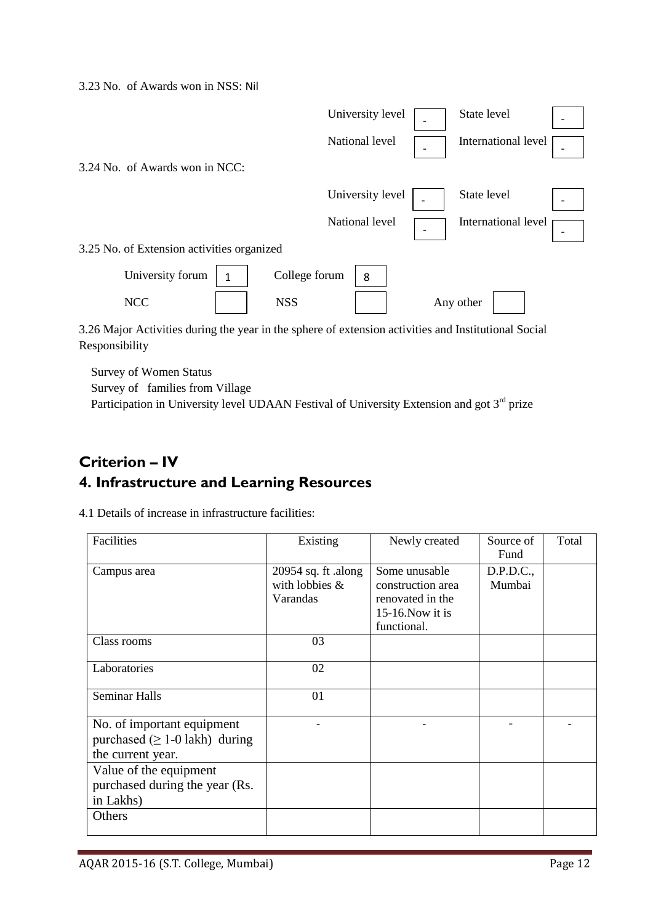3.23 No. of Awards won in NSS: Nil

|                                                                                                      | University level   |                          | State level         |  |
|------------------------------------------------------------------------------------------------------|--------------------|--------------------------|---------------------|--|
|                                                                                                      | National level     | $\overline{\phantom{a}}$ | International level |  |
| 3.24 No. of Awards won in NCC:                                                                       |                    |                          |                     |  |
|                                                                                                      | University level   |                          | State level         |  |
|                                                                                                      | National level     |                          | International level |  |
| 3.25 No. of Extension activities organized                                                           |                    |                          |                     |  |
| University forum                                                                                     | College forum<br>8 |                          |                     |  |
| <b>NCC</b>                                                                                           | <b>NSS</b>         |                          | Any other           |  |
| 3.26 Major Activities during the year in the sphere of extension activities and Institutional Social |                    |                          |                     |  |

Responsibility

Survey of Women Status

Survey of families from Village

Participation in University level UDAAN Festival of University Extension and got 3<sup>rd</sup> prize

# **Criterion – IV 4. Infrastructure and Learning Resources**

| Facilities                                                                              | Existing                                             | Newly created                                                                                | Source of<br>Fund   | Total |
|-----------------------------------------------------------------------------------------|------------------------------------------------------|----------------------------------------------------------------------------------------------|---------------------|-------|
| Campus area                                                                             | 20954 sq. ft .along<br>with lobbies $\&$<br>Varandas | Some unusable<br>construction area<br>renovated in the<br>$15-16$ . Now it is<br>functional. | D.P.D.C.,<br>Mumbai |       |
| Class rooms                                                                             | 03                                                   |                                                                                              |                     |       |
| Laboratories                                                                            | 02                                                   |                                                                                              |                     |       |
| <b>Seminar Halls</b>                                                                    | 01                                                   |                                                                                              |                     |       |
| No. of important equipment<br>purchased $( \geq 1$ -0 lakh) during<br>the current year. |                                                      |                                                                                              |                     |       |
| Value of the equipment<br>purchased during the year (Rs.<br>in Lakhs)                   |                                                      |                                                                                              |                     |       |
| Others                                                                                  |                                                      |                                                                                              |                     |       |

4.1 Details of increase in infrastructure facilities: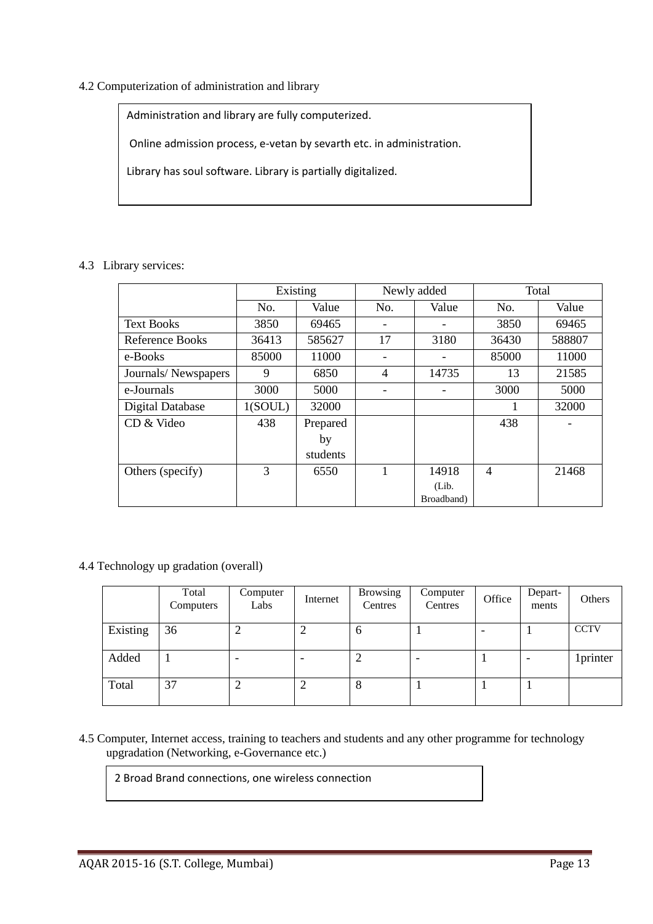### 4.2 Computerization of administration and library

Administration and library are fully computerized.

Online admission process, e-vetan by sevarth etc. in administration.

Library has soul software. Library is partially digitalized.

4.3 Library services:

|                        | Existing |          | Newly added    |            | Total          |        |
|------------------------|----------|----------|----------------|------------|----------------|--------|
|                        | No.      | Value    | No.            | Value      | No.            | Value  |
| <b>Text Books</b>      | 3850     | 69465    |                |            | 3850           | 69465  |
| <b>Reference Books</b> | 36413    | 585627   | 17             | 3180       | 36430          | 588807 |
| e-Books                | 85000    | 11000    |                |            | 85000          | 11000  |
| Journals/Newspapers    | 9        | 6850     | $\overline{4}$ | 14735      | 13             | 21585  |
| e-Journals             | 3000     | 5000     |                |            | 3000           | 5000   |
| Digital Database       | 1(SOUL)  | 32000    |                |            |                | 32000  |
| CD & Video             | 438      | Prepared |                |            | 438            |        |
|                        |          | by       |                |            |                |        |
|                        |          | students |                |            |                |        |
| Others (specify)       | 3        | 6550     |                | 14918      | $\overline{4}$ | 21468  |
|                        |          |          |                | (Lib.      |                |        |
|                        |          |          |                | Broadband) |                |        |

4.4 Technology up gradation (overall)

|          | Total<br>Computers | Computer<br>Labs | Internet | <b>Browsing</b><br>Centres | Computer<br>Centres | Office | Depart-<br>ments | Others      |
|----------|--------------------|------------------|----------|----------------------------|---------------------|--------|------------------|-------------|
| Existing | 36                 | ◠<br>∠           |          | $\sigma$                   |                     | ۰      |                  | <b>CCTV</b> |
| Added    |                    |                  |          |                            |                     |        |                  | 1printer    |
| Total    | 37                 | ി<br>↵           | ി<br>∠   | 8                          |                     |        |                  |             |

4.5 Computer, Internet access, training to teachers and students and any other programme for technology upgradation (Networking, e-Governance etc.)

2 Broad Brand connections, one wireless connection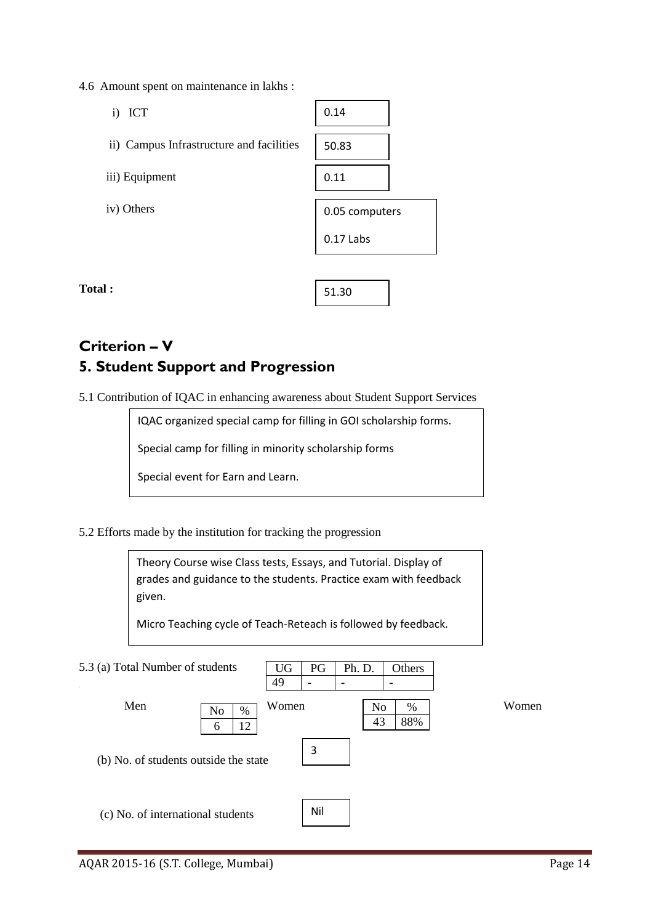4.6 Amount spent on maintenance in lakhs :

| $\ddot{i}$<br><b>ICT</b>                 | 0.14           |
|------------------------------------------|----------------|
| ii) Campus Infrastructure and facilities | 50.83          |
| iii) Equipment                           | 0.11           |
| iv) Others                               | 0.05 computers |
|                                          | 0.17 Labs      |
|                                          |                |

**Total :** 

# **Criterion – V 5. Student Support and Progression**

5.1 Contribution of IQAC in enhancing awareness about Student Support Services

IQAC organized special camp for filling in GOI scholarship forms.

51.30

Special camp for filling in minority scholarship forms

Special event for Earn and Learn.

5.2 Efforts made by the institution for tracking the progression

Theory Course wise Class tests, Essays, and Tutorial. Display of grades and guidance to the students. Practice exam with feedback given.

Micro Teaching cycle of Teach-Reteach is followed by feedback.

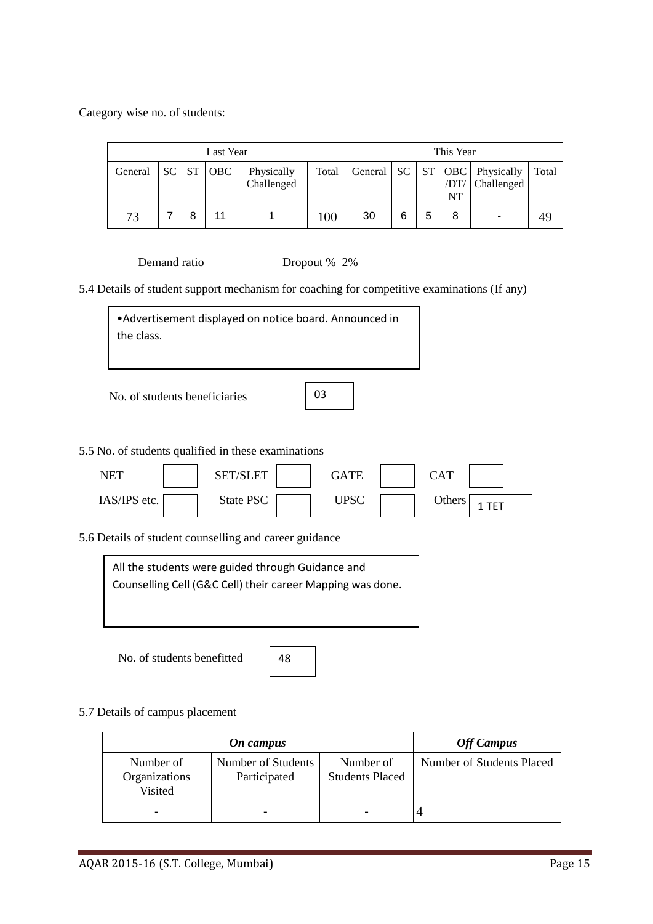Category wise no. of students:

| Last Year |     |                             |     |                          |       |    | This Year |   |                   |                                                    |       |
|-----------|-----|-----------------------------|-----|--------------------------|-------|----|-----------|---|-------------------|----------------------------------------------------|-------|
| General   | SC. | $\overline{\phantom{a}}$ ST | OBC | Physically<br>Challenged | Total |    |           |   | /DT/<br><b>NT</b> | General   SC   ST   OBC   Physically<br>Challenged | Total |
| 73        |     | 8                           | 11  |                          | 100   | 30 | 6         | 5 | 8                 | ۰                                                  | 49    |

Demand ratio Dropout % 2%

5.4 Details of student support mechanism for coaching for competitive examinations (If any)

•Advertisement displayed on notice board. Announced in the class.

No. of students beneficiaries

03

5.5 No. of students qualified in these examinations

| NET          | $\mathbf{L}$ ET | GATE | CAT    |  |
|--------------|-----------------|------|--------|--|
| IAS/IPS etc. | State PSC       | UPSC | Others |  |

5.6 Details of student counselling and career guidance



No. of students benefitted

48

5.7 Details of campus placement

|                                       | <b>Off Campus</b>                  |                                     |                           |
|---------------------------------------|------------------------------------|-------------------------------------|---------------------------|
| Number of<br>Organizations<br>Visited | Number of Students<br>Participated | Number of<br><b>Students Placed</b> | Number of Students Placed |
|                                       |                                    |                                     |                           |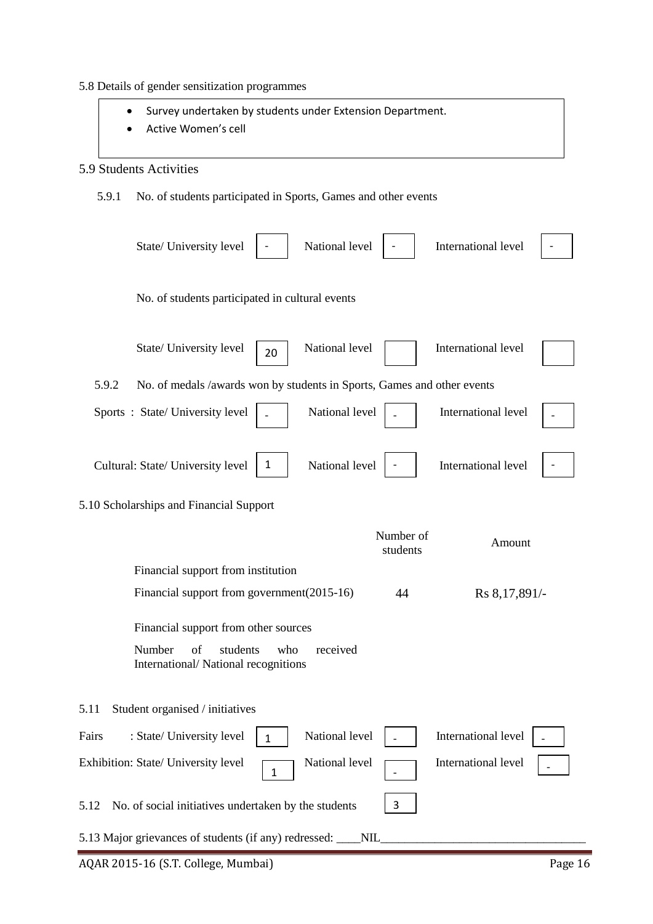- 5.8 Details of gender sensitization programmes
	- Survey undertaken by students under Extension Department.
	- Active Women's cell

### 5.9 Students Activities

5.9.1 No. of students participated in Sports, Games and other events

| National level<br>State/ University level                                          |                       | International level |  |
|------------------------------------------------------------------------------------|-----------------------|---------------------|--|
| No. of students participated in cultural events                                    |                       |                     |  |
| National level<br>State/ University level<br>20                                    |                       | International level |  |
| 5.9.2<br>No. of medals /awards won by students in Sports, Games and other events   |                       |                     |  |
| Sports: State/University level<br>National level                                   |                       | International level |  |
| National level<br>1<br>Cultural: State/ University level                           |                       | International level |  |
| 5.10 Scholarships and Financial Support                                            |                       |                     |  |
|                                                                                    | Number of<br>students | Amount              |  |
| Financial support from institution                                                 |                       |                     |  |
| Financial support from government(2015-16)                                         | 44                    | Rs 8, 17, 891/-     |  |
| Financial support from other sources                                               |                       |                     |  |
| Number<br>received<br>of<br>students<br>who<br>International/National recognitions |                       |                     |  |
| 5.11<br>Student organised / initiatives                                            |                       |                     |  |
| National level<br>: State/ University level<br>Fairs<br>$\mathbf{1}$               |                       | International level |  |
| National level<br>Exhibition: State/ University level<br>$\mathbf{1}$              |                       | International level |  |
| No. of social initiatives undertaken by the students<br>5.12                       | 3                     |                     |  |
| 5.13 Major grievances of students (if any) redressed: ___NIL                       |                       |                     |  |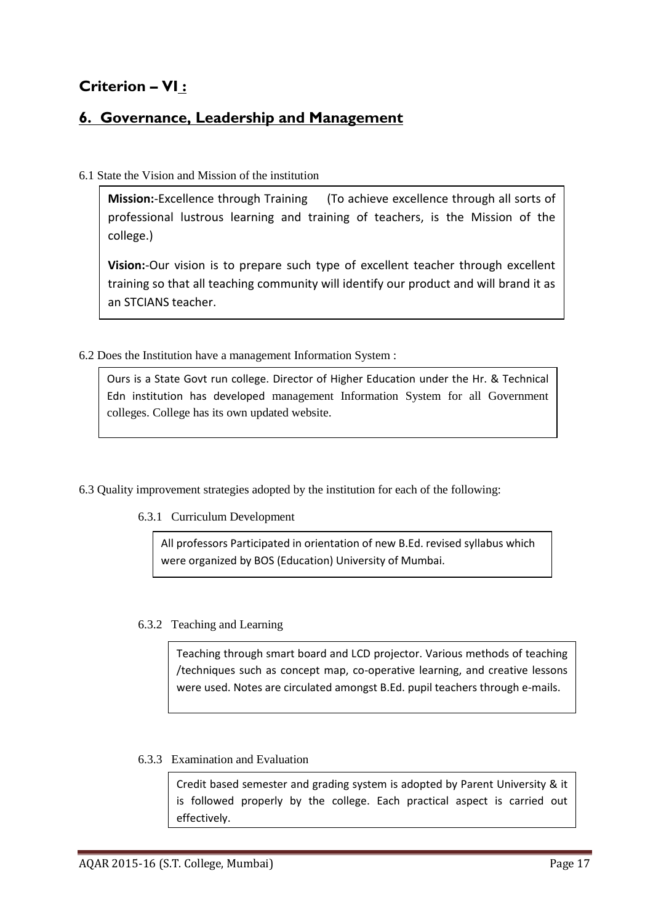# **Criterion – VI :**

## **6. Governance, Leadership and Management**

### 6.1 State the Vision and Mission of the institution

**Mission:**-Excellence through Training (To achieve excellence through all sorts of professional lustrous learning and training of teachers, is the Mission of the college.)

**Vision:**-Our vision is to prepare such type of excellent teacher through excellent training so that all teaching community will identify our product and will brand it as an STCIANS teacher.

6.2 Does the Institution have a management Information System :

Ours is a State Govt run college. Director of Higher Education under the Hr. & Technical Edn institution has developed management Information System for all Government colleges. College has its own updated website.

6.3 Quality improvement strategies adopted by the institution for each of the following:

6.3.1 Curriculum Development

All professors Participated in orientation of new B.Ed. revised syllabus which were organized by BOS (Education) University of Mumbai.

### 6.3.2 Teaching and Learning

Teaching through smart board and LCD projector. Various methods of teaching /techniques such as concept map, co-operative learning, and creative lessons were used. Notes are circulated amongst B.Ed. pupil teachers through e-mails.

6.3.3 Examination and Evaluation

Credit based semester and grading system is adopted by Parent University & it is followed properly by the college. Each practical aspect is carried out effectively.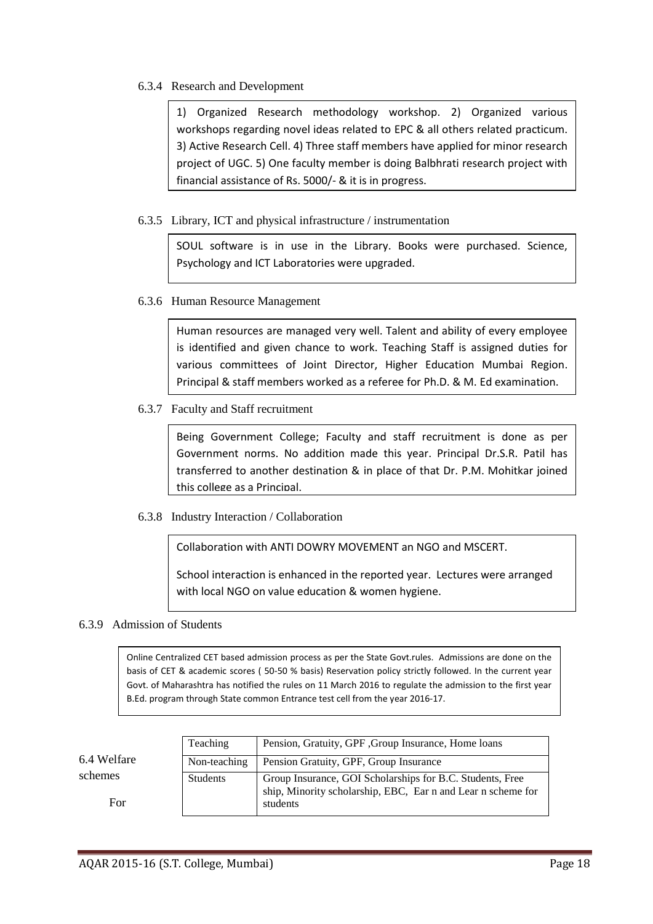### 6.3.4 Research and Development

1) Organized Research methodology workshop. 2) Organized various workshops regarding novel ideas related to EPC & all others related practicum. 3) Active Research Cell. 4) Three staff members have applied for minor research project of UGC. 5) One faculty member is doing Balbhrati research project with financial assistance of Rs. 5000/- & it is in progress.

### 6.3.5 Library, ICT and physical infrastructure / instrumentation

SOUL software is in use in the Library. Books were purchased. Science, Psychology and ICT Laboratories were upgraded.

#### 6.3.6 Human Resource Management

Human resources are managed very well. Talent and ability of every employee is identified and given chance to work. Teaching Staff is assigned duties for various committees of Joint Director, Higher Education Mumbai Region. Principal & staff members worked as a referee for Ph.D. & M. Ed examination.

6.3.7 Faculty and Staff recruitment

Being Government College; Faculty and staff recruitment is done as per Government norms. No addition made this year. Principal Dr.S.R. Patil has transferred to another destination & in place of that Dr. P.M. Mohitkar joined this college as a Principal.

6.3.8 Industry Interaction / Collaboration

Collaboration with ANTI DOWRY MOVEMENT an NGO and MSCERT.

School interaction is enhanced in the reported year. Lectures were arranged with local NGO on value education & women hygiene.

#### 6.3.9 Admission of Students

Online Centralized CET based admission process as per the State Govt.rules. Admissions are done on the basis of CET & academic scores ( 50-50 % basis) Reservation policy strictly followed. In the current year Govt. of Maharashtra has notified the rules on 11 March 2016 to regulate the admission to the first year B.Ed. program through State common Entrance test cell from the year 2016-17.

6.4 Welfare schemes

For

Teaching Pension, Gratuity, GPF, Group Insurance, Home loans Non-teaching Pension Gratuity, GPF, Group Insurance Students Group Insurance, GOI Scholarships for B.C. Students, Free ship, Minority scholarship, EBC, Ear n and Lear n scheme for students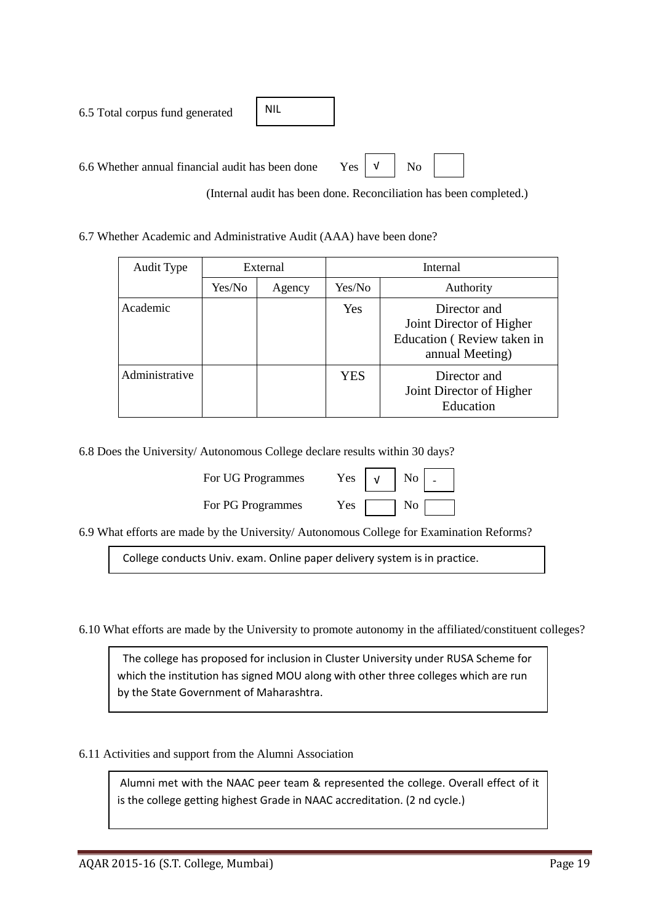6.5 Total corpus fund generated 6.6 Whether annual financial audit has been done Yes  $\begin{vmatrix} 0 & \sqrt{1} \\ 0 & \sqrt{1} \\ 0 & \sqrt{1} \end{vmatrix}$  No NIL √

(Internal audit has been done. Reconciliation has been completed.)

6.7 Whether Academic and Administrative Audit (AAA) have been done?

| Audit Type     | External |        |                                                              | Internal                                                                                  |  |  |
|----------------|----------|--------|--------------------------------------------------------------|-------------------------------------------------------------------------------------------|--|--|
|                | Yes/No   | Agency | Yes/No                                                       | Authority                                                                                 |  |  |
| Academic       |          |        | Yes                                                          | Director and<br>Joint Director of Higher<br>Education (Review taken in<br>annual Meeting) |  |  |
| Administrative |          |        | Director and<br>YES<br>Joint Director of Higher<br>Education |                                                                                           |  |  |

6.8 Does the University/ Autonomous College declare results within 30 days?

| For UG Programmes | Yes $\vert \sqrt{ } \vert$ No |  |
|-------------------|-------------------------------|--|
| For PG Programmes | $Yes \mid \square$ No         |  |

| Yes | No |  |
|-----|----|--|
| Yes | No |  |

6.9 What efforts are made by the University/ Autonomous College for Examination Reforms?

College conducts Univ. exam. Online paper delivery system is in practice.

6.10 What efforts are made by the University to promote autonomy in the affiliated/constituent colleges?

 The college has proposed for inclusion in Cluster University under RUSA Scheme for which the institution has signed MOU along with other three colleges which are run by the State Government of Maharashtra.

6.11 Activities and support from the Alumni Association

Alumni met with the NAAC peer team & represented the college. Overall effect of it is the college getting highest Grade in NAAC accreditation. (2 nd cycle.)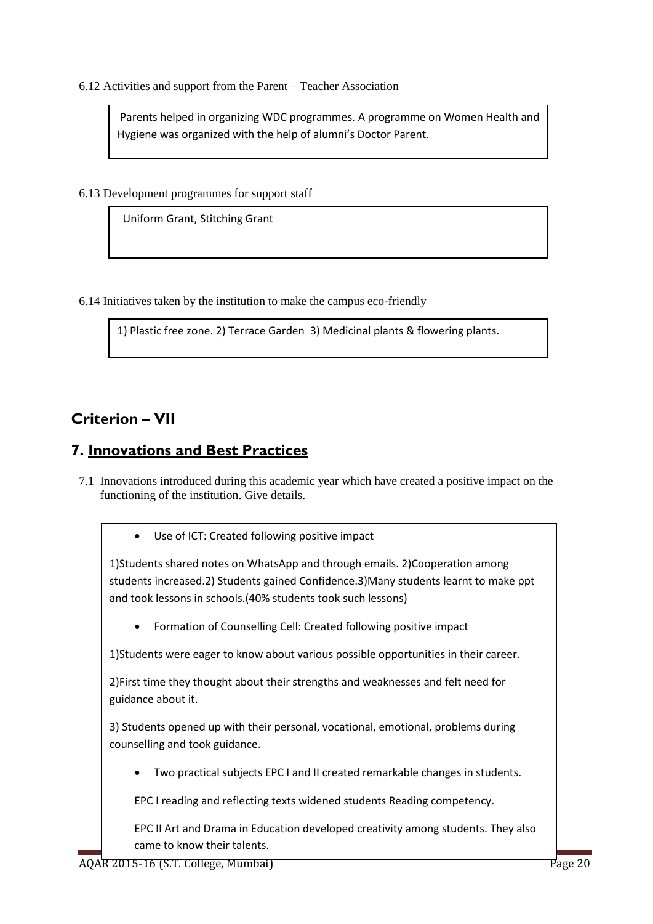6.12 Activities and support from the Parent – Teacher Association

Parents helped in organizing WDC programmes. A programme on Women Health and Hygiene was organized with the help of alumni's Doctor Parent.

6.13 Development programmes for support staff

Uniform Grant, Stitching Grant

6.14 Initiatives taken by the institution to make the campus eco-friendly

1) Plastic free zone. 2) Terrace Garden 3) Medicinal plants & flowering plants.

## **Criterion – VII**

### **7. Innovations and Best Practices**

7.1 Innovations introduced during this academic year which have created a positive impact on the functioning of the institution. Give details.

Use of ICT: Created following positive impact

1)Students shared notes on WhatsApp and through emails. 2)Cooperation among students increased.2) Students gained Confidence.3)Many students learnt to make ppt and took lessons in schools.(40% students took such lessons)

Formation of Counselling Cell: Created following positive impact

1)Students were eager to know about various possible opportunities in their career.

2)First time they thought about their strengths and weaknesses and felt need for guidance about it.

3) Students opened up with their personal, vocational, emotional, problems during counselling and took guidance.

Two practical subjects EPC I and II created remarkable changes in students.

EPC I reading and reflecting texts widened students Reading competency.

EPC II Art and Drama in Education developed creativity among students. They also came to know their talents.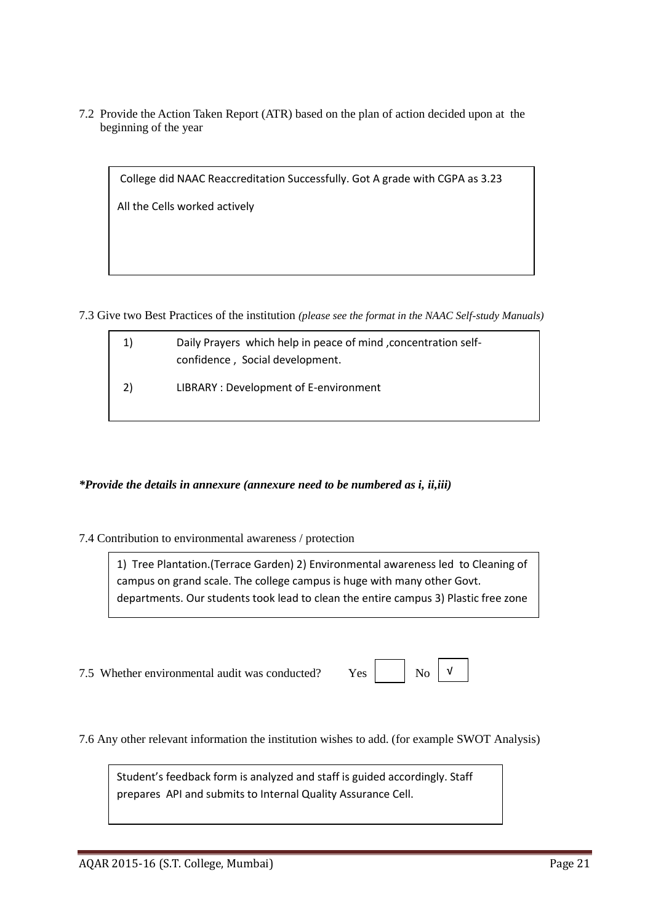7.2 Provide the Action Taken Report (ATR) based on the plan of action decided upon at the beginning of the year

College did NAAC Reaccreditation Successfully. Got A grade with CGPA as 3.23

All the Cells worked actively

7.3 Give two Best Practices of the institution *(please see the format in the NAAC Self-study Manuals)*

| 1) | Daily Prayers which help in peace of mind, concentration self-<br>confidence, Social development. |
|----|---------------------------------------------------------------------------------------------------|
| 2) | LIBRARY: Development of E-environment                                                             |

### *\*Provide the details in annexure (annexure need to be numbered as i, ii,iii)*

#### 7.4 Contribution to environmental awareness / protection

1) Tree Plantation.(Terrace Garden) 2) Environmental awareness led to Cleaning of campus on grand scale. The college campus is huge with many other Govt. departments. Our students took lead to clean the entire campus 3) Plastic free zone

7.5 Whether environmental audit was conducted? Yes

| Ν٢ |
|----|
|----|

7.6 Any other relevant information the institution wishes to add. (for example SWOT Analysis)

Student's feedback form is analyzed and staff is guided accordingly. Staff prepares API and submits to Internal Quality Assurance Cell.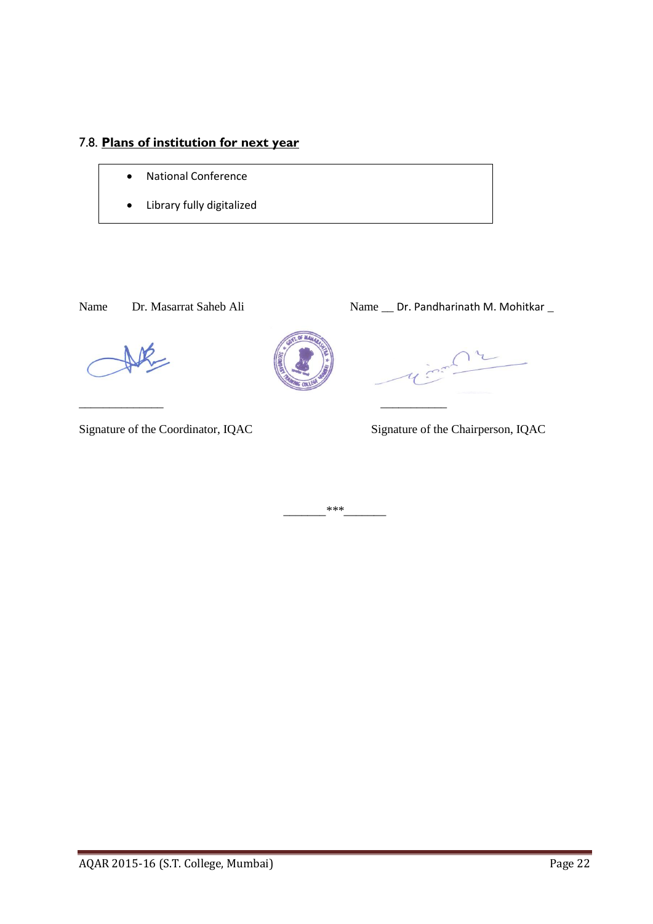## 7.8. **Plans of institution for next year**

- National Conference
- Library fully digitalized

### Name Dr. Masarrat Saheb Ali Name \_\_ Dr. Pandharinath M. Mohitkar \_



*\_\_\_\_\_\_\_\*\*\*\_\_\_\_\_\_\_*

\_\_\_\_\_\_\_\_\_\_\_\_\_\_ \_\_\_\_\_\_\_\_\_\_\_

Signature of the Coordinator, IQAC Signature of the Chairperson, IQAC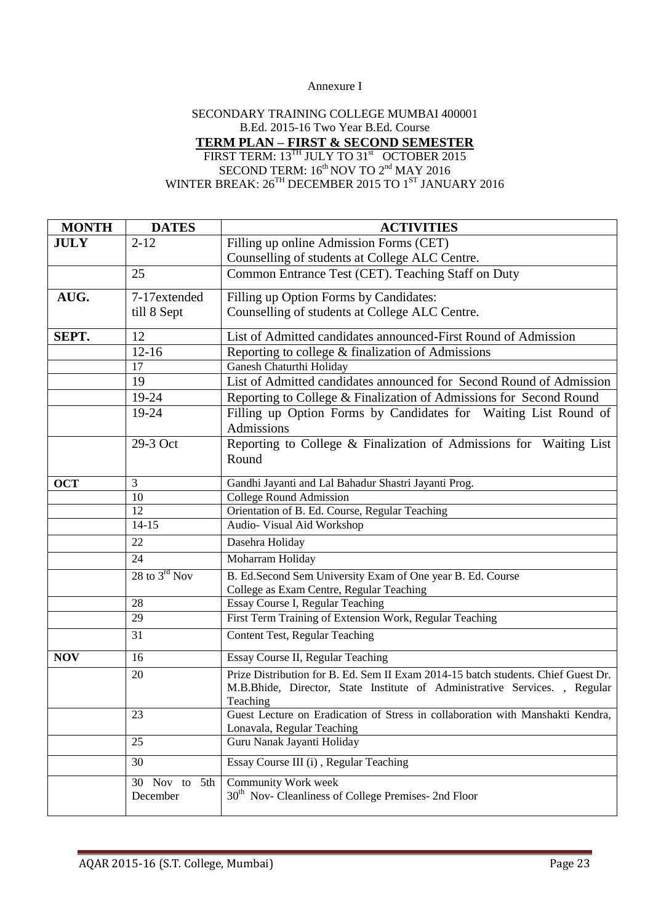#### Annexure I

### SECONDARY TRAINING COLLEGE MUMBAI 400001 B.Ed. 2015-16 Two Year B.Ed. Course **TERM PLAN – FIRST & SECOND SEMESTER** FIRST TERM: 13<sup>TH</sup> JULY TO 31<sup>st</sup> OCTOBER 2015 SECOND TERM:  $16^{\text{th}}$  NOV TO  $2^{\text{nd}}$  MAY 2016 WINTER BREAK:  $26^{TH}$  DECEMBER 2015 TO 1<sup>ST</sup> JANUARY 2016

| <b>MONTH</b> | <b>DATES</b>                 | <b>ACTIVITIES</b>                                                                                                                                                          |
|--------------|------------------------------|----------------------------------------------------------------------------------------------------------------------------------------------------------------------------|
| <b>JULY</b>  | $2 - 12$                     | Filling up online Admission Forms (CET)                                                                                                                                    |
|              |                              | Counselling of students at College ALC Centre.                                                                                                                             |
|              | 25                           | Common Entrance Test (CET). Teaching Staff on Duty                                                                                                                         |
| AUG.         | 7-17extended                 | Filling up Option Forms by Candidates:                                                                                                                                     |
|              | till 8 Sept                  | Counselling of students at College ALC Centre.                                                                                                                             |
| SEPT.        | 12                           | List of Admitted candidates announced-First Round of Admission                                                                                                             |
|              | $12 - 16$                    | Reporting to college & finalization of Admissions                                                                                                                          |
|              | 17                           | Ganesh Chaturthi Holiday                                                                                                                                                   |
|              | 19                           | List of Admitted candidates announced for Second Round of Admission                                                                                                        |
|              | 19-24                        | Reporting to College & Finalization of Admissions for Second Round                                                                                                         |
|              | 19-24                        | Filling up Option Forms by Candidates for Waiting List Round of<br>Admissions                                                                                              |
|              | 29-3 Oct                     | Reporting to College & Finalization of Admissions for Waiting List<br>Round                                                                                                |
| <b>OCT</b>   | 3                            | Gandhi Jayanti and Lal Bahadur Shastri Jayanti Prog.                                                                                                                       |
|              | 10                           | College Round Admission                                                                                                                                                    |
|              | 12                           | Orientation of B. Ed. Course, Regular Teaching                                                                                                                             |
|              | $14 - 15$                    | Audio- Visual Aid Workshop                                                                                                                                                 |
|              | 22                           | Dasehra Holiday                                                                                                                                                            |
|              | 24                           | Moharram Holiday                                                                                                                                                           |
|              | 28 to $3^{\text{rd}}$ Nov    | B. Ed.Second Sem University Exam of One year B. Ed. Course                                                                                                                 |
|              |                              | College as Exam Centre, Regular Teaching                                                                                                                                   |
|              | 28                           | Essay Course I, Regular Teaching                                                                                                                                           |
|              | 29                           | First Term Training of Extension Work, Regular Teaching                                                                                                                    |
|              | 31                           | Content Test, Regular Teaching                                                                                                                                             |
| <b>NOV</b>   | 16                           | Essay Course II, Regular Teaching                                                                                                                                          |
|              | 20                           | Prize Distribution for B. Ed. Sem II Exam 2014-15 batch students. Chief Guest Dr.<br>M.B.Bhide, Director, State Institute of Administrative Services., Regular<br>Teaching |
|              | 23                           | Guest Lecture on Eradication of Stress in collaboration with Manshakti Kendra,<br>Lonavala, Regular Teaching                                                               |
|              | 25                           | Guru Nanak Jayanti Holiday                                                                                                                                                 |
|              | 30                           | Essay Course III (i), Regular Teaching                                                                                                                                     |
|              | Nov to 5th<br>30<br>December | Community Work week<br>30 <sup>th</sup> Nov- Cleanliness of College Premises- 2nd Floor                                                                                    |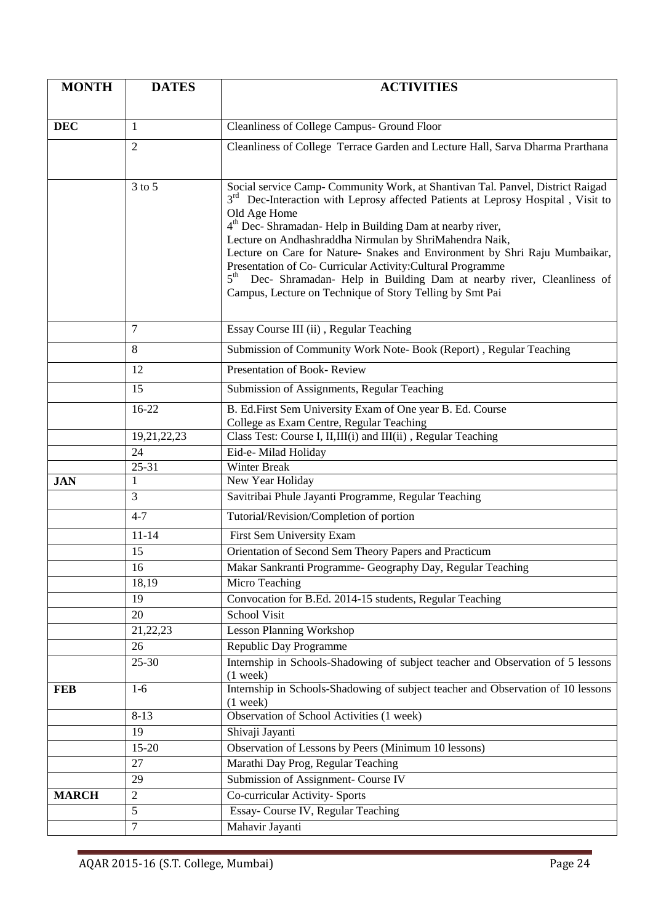| <b>MONTH</b> | <b>DATES</b>   | <b>ACTIVITIES</b>                                                                                                                                                                                                                                                                                                                                                                                                                                                                                                                                                                                                                   |
|--------------|----------------|-------------------------------------------------------------------------------------------------------------------------------------------------------------------------------------------------------------------------------------------------------------------------------------------------------------------------------------------------------------------------------------------------------------------------------------------------------------------------------------------------------------------------------------------------------------------------------------------------------------------------------------|
|              |                |                                                                                                                                                                                                                                                                                                                                                                                                                                                                                                                                                                                                                                     |
| <b>DEC</b>   | 1              | Cleanliness of College Campus- Ground Floor                                                                                                                                                                                                                                                                                                                                                                                                                                                                                                                                                                                         |
|              | $\overline{2}$ | Cleanliness of College Terrace Garden and Lecture Hall, Sarva Dharma Prarthana                                                                                                                                                                                                                                                                                                                                                                                                                                                                                                                                                      |
|              |                |                                                                                                                                                                                                                                                                                                                                                                                                                                                                                                                                                                                                                                     |
|              | $3$ to $5$     | Social service Camp- Community Work, at Shantivan Tal. Panvel, District Raigad<br>3 <sup>rd</sup> Dec-Interaction with Leprosy affected Patients at Leprosy Hospital, Visit to<br>Old Age Home<br>4 <sup>th</sup> Dec- Shramadan- Help in Building Dam at nearby river,<br>Lecture on Andhashraddha Nirmulan by ShriMahendra Naik,<br>Lecture on Care for Nature- Snakes and Environment by Shri Raju Mumbaikar,<br>Presentation of Co- Curricular Activity: Cultural Programme<br>5 <sup>th</sup> Dec- Shramadan- Help in Building Dam at nearby river, Cleanliness of<br>Campus, Lecture on Technique of Story Telling by Smt Pai |
|              | $\tau$         | Essay Course III (ii), Regular Teaching                                                                                                                                                                                                                                                                                                                                                                                                                                                                                                                                                                                             |
|              | 8              | Submission of Community Work Note- Book (Report), Regular Teaching                                                                                                                                                                                                                                                                                                                                                                                                                                                                                                                                                                  |
|              | 12             | Presentation of Book-Review                                                                                                                                                                                                                                                                                                                                                                                                                                                                                                                                                                                                         |
|              | 15             | Submission of Assignments, Regular Teaching                                                                                                                                                                                                                                                                                                                                                                                                                                                                                                                                                                                         |
|              | $16-22$        | B. Ed. First Sem University Exam of One year B. Ed. Course<br>College as Exam Centre, Regular Teaching                                                                                                                                                                                                                                                                                                                                                                                                                                                                                                                              |
|              | 19,21,22,23    | Class Test: Course I, II,III(i) and III(ii), Regular Teaching                                                                                                                                                                                                                                                                                                                                                                                                                                                                                                                                                                       |
|              | 24             | Eid-e- Milad Holiday                                                                                                                                                                                                                                                                                                                                                                                                                                                                                                                                                                                                                |
|              | 25-31          | <b>Winter Break</b>                                                                                                                                                                                                                                                                                                                                                                                                                                                                                                                                                                                                                 |
| <b>JAN</b>   | 1              | New Year Holiday                                                                                                                                                                                                                                                                                                                                                                                                                                                                                                                                                                                                                    |
|              | 3              | Savitribai Phule Jayanti Programme, Regular Teaching                                                                                                                                                                                                                                                                                                                                                                                                                                                                                                                                                                                |
|              | $4 - 7$        | Tutorial/Revision/Completion of portion                                                                                                                                                                                                                                                                                                                                                                                                                                                                                                                                                                                             |
|              | $11 - 14$      | First Sem University Exam                                                                                                                                                                                                                                                                                                                                                                                                                                                                                                                                                                                                           |
|              | 15             | Orientation of Second Sem Theory Papers and Practicum                                                                                                                                                                                                                                                                                                                                                                                                                                                                                                                                                                               |
|              | 16             | Makar Sankranti Programme- Geography Day, Regular Teaching                                                                                                                                                                                                                                                                                                                                                                                                                                                                                                                                                                          |
|              | 18,19          | Micro Teaching                                                                                                                                                                                                                                                                                                                                                                                                                                                                                                                                                                                                                      |
|              | 19             | Convocation for B.Ed. 2014-15 students, Regular Teaching                                                                                                                                                                                                                                                                                                                                                                                                                                                                                                                                                                            |
|              | 20             | <b>School Visit</b>                                                                                                                                                                                                                                                                                                                                                                                                                                                                                                                                                                                                                 |
|              | 21,22,23       | <b>Lesson Planning Workshop</b>                                                                                                                                                                                                                                                                                                                                                                                                                                                                                                                                                                                                     |
|              | 26             | Republic Day Programme                                                                                                                                                                                                                                                                                                                                                                                                                                                                                                                                                                                                              |
|              | 25-30          | Internship in Schools-Shadowing of subject teacher and Observation of 5 lessons<br>$(1$ week)                                                                                                                                                                                                                                                                                                                                                                                                                                                                                                                                       |
| <b>FEB</b>   | $1-6$          | Internship in Schools-Shadowing of subject teacher and Observation of 10 lessons<br>$(1$ week)                                                                                                                                                                                                                                                                                                                                                                                                                                                                                                                                      |
|              | $8 - 13$       | Observation of School Activities (1 week)                                                                                                                                                                                                                                                                                                                                                                                                                                                                                                                                                                                           |
|              | 19             | Shivaji Jayanti                                                                                                                                                                                                                                                                                                                                                                                                                                                                                                                                                                                                                     |
|              | 15-20          | Observation of Lessons by Peers (Minimum 10 lessons)                                                                                                                                                                                                                                                                                                                                                                                                                                                                                                                                                                                |
|              | 27             | Marathi Day Prog, Regular Teaching                                                                                                                                                                                                                                                                                                                                                                                                                                                                                                                                                                                                  |
|              | 29             | Submission of Assignment- Course IV                                                                                                                                                                                                                                                                                                                                                                                                                                                                                                                                                                                                 |
| <b>MARCH</b> | $\sqrt{2}$     | Co-curricular Activity- Sports                                                                                                                                                                                                                                                                                                                                                                                                                                                                                                                                                                                                      |
|              | 5              | Essay- Course IV, Regular Teaching                                                                                                                                                                                                                                                                                                                                                                                                                                                                                                                                                                                                  |
|              | $\overline{7}$ | Mahavir Jayanti                                                                                                                                                                                                                                                                                                                                                                                                                                                                                                                                                                                                                     |
|              |                |                                                                                                                                                                                                                                                                                                                                                                                                                                                                                                                                                                                                                                     |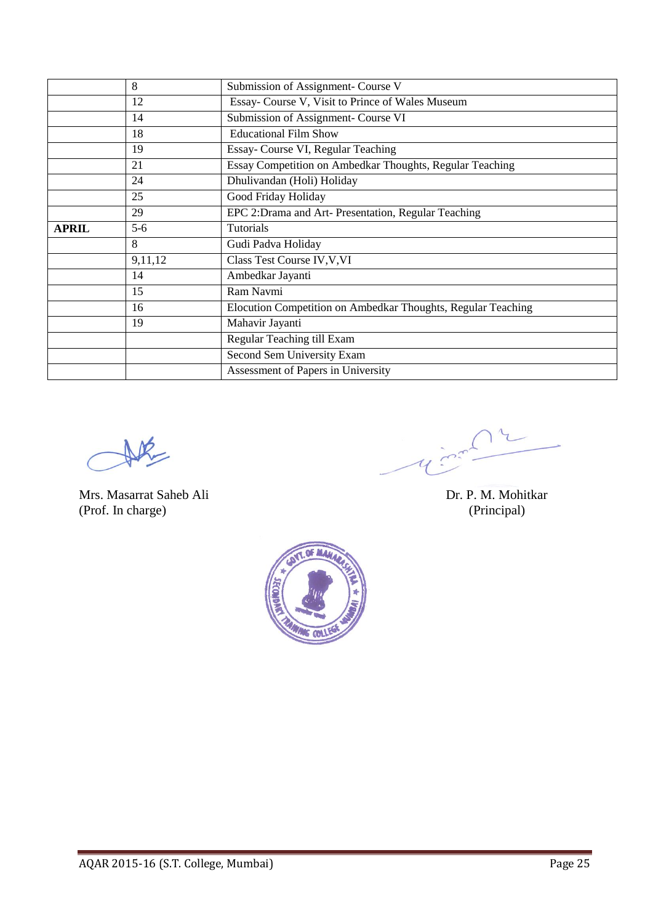|              | 8       | Submission of Assignment- Course V                           |
|--------------|---------|--------------------------------------------------------------|
|              | 12      | Essay- Course V, Visit to Prince of Wales Museum             |
|              | 14      | Submission of Assignment- Course VI                          |
|              | 18      | <b>Educational Film Show</b>                                 |
|              | 19      | Essay- Course VI, Regular Teaching                           |
|              | 21      | Essay Competition on Ambedkar Thoughts, Regular Teaching     |
|              | 24      | Dhulivandan (Holi) Holiday                                   |
|              | 25      | Good Friday Holiday                                          |
|              | 29      | EPC 2: Drama and Art- Presentation, Regular Teaching         |
| <b>APRIL</b> | $5-6$   | <b>Tutorials</b>                                             |
|              | 8       | Gudi Padva Holiday                                           |
|              | 9,11,12 | Class Test Course IV, V, VI                                  |
|              | 14      | Ambedkar Jayanti                                             |
|              | 15      | Ram Navmi                                                    |
|              | 16      | Elocution Competition on Ambedkar Thoughts, Regular Teaching |
|              | 19      | Mahavir Jayanti                                              |
|              |         | Regular Teaching till Exam                                   |
|              |         | Second Sem University Exam                                   |
|              |         | Assessment of Papers in University                           |

DR

Mrs. Masarrat Saheb Ali Dr. P. M. Mohitkar (Prof. In charge) (Principal)

 $\left($